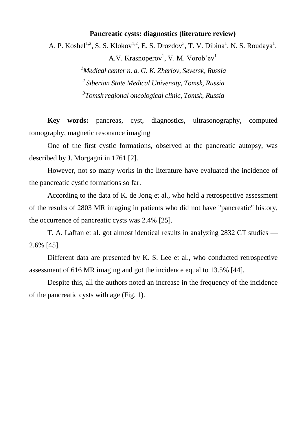## **Pancreatic cysts: diagnostics (literature review)**

A. P. Koshel<sup>1,2</sup>, S. S. Klokov<sup>1,2</sup>, E. S. Drozdov<sup>3</sup>, T. V. Dibina<sup>1</sup>, N. S. Roudaya<sup>1</sup>, A.V. Krasnoperov<sup>1</sup>, V. M. Vorob'ev<sup>1</sup>

> *<sup>1</sup>Medical center n. a. G. K. Zherlov, Seversk, Russia 2 Siberian State Medical University, Tomsk, Russia 3 Tomsk regional oncological clinic, Tomsk, Russia*

**Key words:** pancreas, cyst, diagnostics, ultrasonography, computed tomography, magnetic resonance imaging

One of the first cystic formations, observed at the pancreatic autopsy, was described by J. Morgagni in 1761 [2].

However, not so many works in the literature have evaluated the incidence of the pancreatic cystic formations so far.

According to the data of K. de Jong et al., who held a retrospective assessment of the results of 2803 MR imaging in patients who did not have "pancreatic" history, the occurrence of pancreatic cysts was 2.4% [25].

T. A. Laffan et al. got almost identical results in analyzing 2832 CT studies — 2.6% [45].

Different data are presented by K. S. Lee et al., who conducted retrospective assessment of 616 MR imaging and got the incidence equal to 13.5% [44].

Despite this, all the authors noted an increase in the frequency of the incidence of the pancreatic cysts with age (Fig. 1).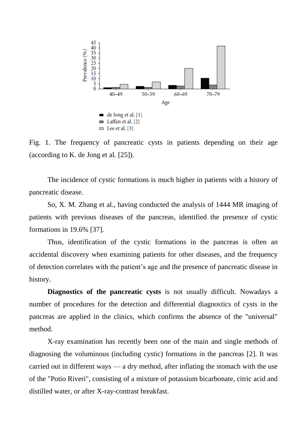

Fig. 1. The frequency of pancreatic cysts in patients depending on their age (according to K. de Jong et al. [25]).

The incidence of cystic formations is much higher in patients with a history of pancreatic disease.

So, X. M. Zhang et al., having conducted the analysis of 1444 MR imaging of patients with previous diseases of the pancreas, identified the presence of cystic formations in 19.6% [37].

Thus, identification of the cystic formations in the pancreas is often an accidental discovery when examining patients for other diseases, and the frequency of detection correlates with the patient's age and the presence of pancreatic disease in history.

**Diagnostics of the pancreatic cysts** is not usually difficult. Nowadays a number of procedures for the detection and differential diagnostics of cysts in the pancreas are applied in the clinics, which confirms the absence of the "universal" method.

X-ray examination has recently been one of the main and single methods of diagnosing the voluminous (including cystic) formations in the pancreas [2]. It was carried out in different ways — a dry method, after inflating the stomach with the use of the "Potio Riveri", consisting of a mixture of potassium bicarbonate, citric acid and distilled water, or after X-ray-contrast breakfast.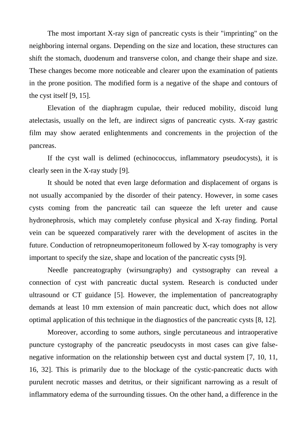The most important X-ray sign of pancreatic cysts is their "imprinting" on the neighboring internal organs. Depending on the size and location, these structures can shift the stomach, duodenum and transverse colon, and change their shape and size. These changes become more noticeable and clearer upon the examination of patients in the prone position. The modified form is a negative of the shape and contours of the cyst itself [9, 15].

Elevation of the diaphragm cupulae, their reduced mobility, discoid lung atelectasis, usually on the left, are indirect signs of pancreatic cysts. X-ray gastric film may show aerated enlightenments and concrements in the projection of the pancreas.

If the cyst wall is delimed (echinococcus, inflammatory pseudocysts), it is clearly seen in the X-ray study [9].

It should be noted that even large deformation and displacement of organs is not usually accompanied by the disorder of their patency. However, in some cases cysts coming from the pancreatic tail can squeeze the left ureter and cause hydronephrosis, which may completely confuse physical and X-ray finding. Portal vein can be squeezed comparatively rarer with the development of ascites in the future. Conduction of retropneumoperitoneum followed by X-ray tomography is very important to specify the size, shape and location of the pancreatic cysts [9].

Needle pancreatography (wirsungraphy) and cystsography can reveal a connection of cyst with pancreatic ductal system. Research is conducted under ultrasound or CT guidance [5]. However, the implementation of pancreatography demands at least 10 mm extension of main pancreatic duct, which does not allow optimal application of this technique in the diagnostics of the pancreatic cysts [8, 12].

Moreover, according to some authors, single percutaneous and intraoperative puncture cystography of the pancreatic pseudocysts in most cases can give falsenegative information on the relationship between cyst and ductal system [7, 10, 11, 16, 32]. This is primarily due to the blockage of the cystic-pancreatic ducts with purulent necrotic masses and detritus, or their significant narrowing as a result of inflammatory edema of the surrounding tissues. On the other hand, a difference in the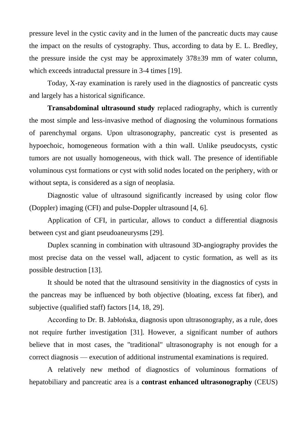pressure level in the cystic cavity and in the lumen of the pancreatic ducts may cause the impact on the results of cystography. Thus, according to data by E. L. Bredley, the pressure inside the cyst may be approximately 378±39 mm of water column, which exceeds intraductal pressure in 3-4 times [19].

Today, X-ray examination is rarely used in the diagnostics of pancreatic cysts and largely has a historical significance.

**Transabdominal ultrasound study** replaced radiography, which is currently the most simple and less-invasive method of diagnosing the voluminous formations of parenchymal organs. Upon ultrasonography, pancreatic cyst is presented as hypoechoic, homogeneous formation with a thin wall. Unlike pseudocysts, cystic tumors are not usually homogeneous, with thick wall. The presence of identifiable voluminous cyst formations or cyst with solid nodes located on the periphery, with or without septa, is considered as a sign of neoplasia.

Diagnostic value of ultrasound significantly increased by using color flow (Doppler) imaging (CFI) and pulse-Doppler ultrasound [4, 6].

Application of CFI, in particular, allows to conduct a differential diagnosis between cyst and giant pseudoaneurysms [29].

Duplex scanning in combination with ultrasound 3D-angiography provides the most precise data on the vessel wall, adjacent to cystic formation, as well as its possible destruction [13].

It should be noted that the ultrasound sensitivity in the diagnostics of cysts in the pancreas may be influenced by both objective (bloating, excess fat fiber), and subjective (qualified staff) factors [14, 18, 29].

According to Dr. B. Jabłońska, diagnosis upon ultrasonography, as a rule, does not require further investigation [31]. However, a significant number of authors believe that in most cases, the "traditional" ultrasonography is not enough for a correct diagnosis — execution of additional instrumental examinations is required.

A relatively new method of diagnostics of voluminous formations of hepatobiliary and pancreatic area is a **contrast enhanced ultrasonography** (CEUS)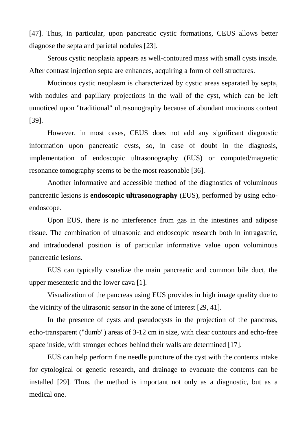[47]. Thus, in particular, upon pancreatic cystic formations, CEUS allows better diagnose the septa and parietal nodules [23].

Serous cystic neoplasia appears as well-contoured mass with small cysts inside. After contrast injection septa are enhances, acquiring a form of cell structures.

Mucinous cystic neoplasm is characterized by cystic areas separated by septa, with nodules and papillary projections in the wall of the cyst, which can be left unnoticed upon "traditional" ultrasonography because of abundant mucinous content [39].

However, in most cases, CEUS does not add any significant diagnostic information upon pancreatic cysts, so, in case of doubt in the diagnosis, implementation of endoscopic ultrasonography (EUS) or computed/magnetic resonance tomography seems to be the most reasonable [36].

Another informative and accessible method of the diagnostics of voluminous pancreatic lesions is **endoscopic ultrasonography** (EUS), performed by using echoendoscope.

Upon EUS, there is no interference from gas in the intestines and adipose tissue. The combination of ultrasonic and endoscopic research both in intragastric, and intraduodenal position is of particular informative value upon voluminous pancreatic lesions.

EUS can typically visualize the main pancreatic and common bile duct, the upper mesenteric and the lower cava [1].

Visualization of the pancreas using EUS provides in high image quality due to the vicinity of the ultrasonic sensor in the zone of interest [29, 41].

In the presence of cysts and pseudocysts in the projection of the pancreas, echo-transparent ("dumb") areas of 3-12 cm in size, with clear contours and echo-free space inside, with stronger echoes behind their walls are determined [17].

EUS can help perform fine needle puncture of the cyst with the contents intake for cytological or genetic research, and drainage to evacuate the contents can be installed [29]. Thus, the method is important not only as a diagnostic, but as a medical one.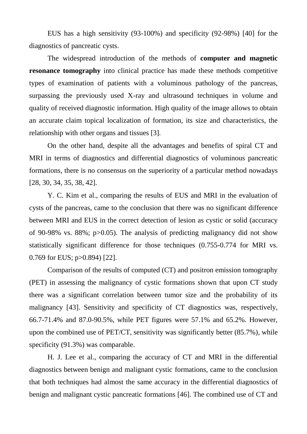EUS has a high sensitivity (93-100%) and specificity (92-98%) [40] for the diagnostics of pancreatic cysts.

The widespread introduction of the methods of **computer and magnetic resonance tomography** into clinical practice has made these methods competitive types of examination of patients with a voluminous pathology of the pancreas, surpassing the previously used X-ray and ultrasound techniques in volume and quality of received diagnostic information. High quality of the image allows to obtain an accurate claim topical localization of formation, its size and characteristics, the relationship with other organs and tissues [3].

On the other hand, despite all the advantages and benefits of spiral CT and MRI in terms of diagnostics and differential diagnostics of voluminous pancreatic formations, there is no consensus on the superiority of a particular method nowadays [28, 30, 34, 35, 38, 42].

Y. C. Kim et al., comparing the results of EUS and MRI in the evaluation of cysts of the pancreas, came to the conclusion that there was no significant difference between MRI and EUS in the correct detection of lesion as cystic or solid (accuracy of 90-98% vs. 88%; p>0.05). The analysis of predicting malignancy did not show statistically significant difference for those techniques (0.755-0.774 for MRI vs. 0.769 for EUS; p>0.894) [22].

Comparison of the results of computed (CT) and positron emission tomography (PET) in assessing the malignancy of cystic formations shown that upon CT study there was a significant correlation between tumor size and the probability of its malignancy [43]. Sensitivity and specificity of CT diagnostics was, respectively, 66.7-71.4% and 87.0-90.5%, while PET figures were 57.1% and 65.2%. However, upon the combined use of PET/CT, sensitivity was significantly better (85.7%), while specificity (91.3%) was comparable.

H. J. Lee et al., comparing the accuracy of CT and MRI in the differential diagnostics between benign and malignant cystic formations, came to the conclusion that both techniques had almost the same accuracy in the differential diagnostics of benign and malignant cystic pancreatic formations [46]. The combined use of CT and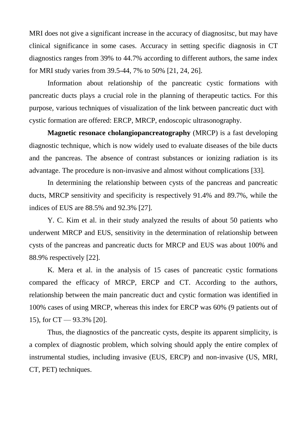MRI does not give a significant increase in the accuracy of diagnositsc, but may have clinical significance in some cases. Accuracy in setting specific diagnosis in CT diagnostics ranges from 39% to 44.7% according to different authors, the same index for MRI study varies from 39.5-44, 7% to 50% [21, 24, 26].

Information about relationship of the pancreatic cystic formations with pancreatic ducts plays a crucial role in the planning of therapeutic tactics. For this purpose, various techniques of visualization of the link between pancreatic duct with cystic formation are offered: ERCP, MRCP, endoscopic ultrasonography.

**Magnetic resonace cholangiopancreatography** (MRCP) is a fast developing diagnostic technique, which is now widely used to evaluate diseases of the bile ducts and the pancreas. The absence of contrast substances or ionizing radiation is its advantage. The procedure is non-invasive and almost without complications [33].

In determining the relationship between cysts of the pancreas and pancreatic ducts, MRCP sensitivity and specificity is respectively 91.4% and 89.7%, while the indices of EUS are 88.5% and 92.3% [27].

Y. C. Kim et al. in their study analyzed the results of about 50 patients who underwent MRCP and EUS, sensitivity in the determination of relationship between cysts of the pancreas and pancreatic ducts for MRCP and EUS was about 100% and 88.9% respectively [22].

K. Mera et al. in the analysis of 15 cases of pancreatic cystic formations compared the efficacy of MRCP, ERCP and CT. According to the authors, relationship between the main pancreatic duct and cystic formation was identified in 100% cases of using MRCP, whereas this index for ERCP was 60% (9 patients out of 15), for CT — 93.3% [20].

Thus, the diagnostics of the pancreatic cysts, despite its apparent simplicity, is a complex of diagnostic problem, which solving should apply the entire complex of instrumental studies, including invasive (EUS, ERCP) and non-invasive (US, MRI, CT, PET) techniques.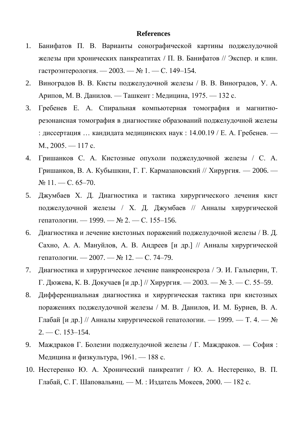## **References**

- 1. Банифатов П. В. Варианты сонографической картины поджелудочной железы при хронических панкреатитах / П. В. Банифатов // Экспер. и клин. гастроэнтерология. — 2003. — № 1. — С. 149–154.
- 2. Виноградов В. В. Кисты поджелудочной железы / В. В. Виноградов, У. А. Арипов, М. В. Данилов. — Ташкент : Медицина, 1975. — 132 с.
- 3. Гребенев Е. А. Спиральная компьютерная томография и магнитнорезонансная томография в диагностике образований поджелудочной железы : диссертация … кандидата медицинских наук : 14.00.19 / Е. А. Гребенев. — М., 2005. — 117 с.
- 4. Гришанков С. А. Кистозные опухоли поджелудочной железы / С. А. Гришанков, В. А. Кубышкин, Г. Г. Кармазановский // Хирургия. — 2006. —  $N_2$  11. — C. 65–70.
- 5. Джумбаев Х. Д. Диагностика и тактика хирургического лечения кист поджелудочной железы / Х. Д. Джумбаев // Анналы хирургической гепатологии. — 1999. — № 2. — С. 155–156.
- 6. Диагностика и лечение кистозных поражений поджелудочной железы / В. Д. Сахно, А. А. Мануйлов, А. В. Андреев [и др.] // Анналы хирургической гепатологии. — 2007. — № 12. — С. 74–79.
- 7. Диагностика и хирургическое лечение панкреонекроза / Э. И. Гальперин, Т. Г. Дюжева, К. В. Докучаев [и др.] // Хирургия. — 2003. — № 3. — С. 55–59.
- 8. Дифференциальная диагностика и хирургическая тактика при кистозных поражениях поджелудочной железы / М. В. Данилов, И. М. Буриев, В. А. Глабай [и др.] // Анналы хирургической гепатологии. — 1999. — Т. 4. — №  $2. - C. 153 - 154.$
- 9. Маждраков Г. Болезни поджелудочной железы / Г. Маждраков. София : Медицина и физкультура, 1961. — 188 с.
- 10. Нестеренко Ю. А. Хронический панкреатит / Ю. А. Нестеренко, В. П. Глабай, С. Г. Шаповальянц. — М. : Издатель Мокеев, 2000. — 182 с.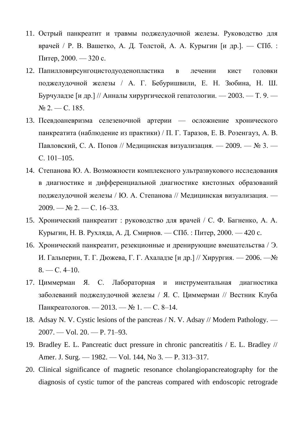- 11. Острый панкреатит и травмы поджелудочной железы. Руководство для врачей / Р. В. Вашетко, А. Д. Толстой, А. А. Курыгин [и др.]. — СПб. : Питер, 2000. — 320 с.
- 12. Папилловирсунгоцистодуоденопластика в лечении кист головки поджелудочной железы / А. Г. Бебуришвили, Е. Н. Зюбина, Н. Ш. Бурчуладзе [и др.] // Анналы хирургической гепатологии. — 2003. — Т. 9. — № 2. — С. 185.
- 13. Псевдоаневризма селезеночной артерии осложнение хронического панкреатита (наблюдение из практики) / П. Г. Таразов, Е. В. Розенгауз, A. B. Павловский, С. А. Попов // Медицинская визуализация. — 2009. — № 3. — С. 101–105.
- 14. Степанова Ю. А. Возможности комплексного ультразвукового исследования в диагностике и дифференциальной диагностике кистозных образований поджелудочной железы / Ю. А. Степанова // Медицинская визуализация. —  $2009. -$  No  $2. -$  C. 16-33.
- 15. Хронический панкреатит : руководство для врачей / С. Ф. Багненко, А. А. Курыгин, Н. В. Рухляда, А. Д. Смирнов. — СПб. : Питер, 2000. — 420 c.
- 16. Хронический панкреатит, резекционные и дренирующие вмешательства / Э. И. Гальперин, Т. Г. Дюжева, Г. Г. Ахаладзе [и др.] // Хирургия. — 2006. —№  $8. - C. 4 - 10.$
- 17. Циммерман Я. С. Лабораторная и инструментальная диагностика заболеваний поджелудочной железы / Я. С. Циммерман // Вестник Клуба Панкреатологов. — 2013. — № 1. — С. 8–14.
- 18. Adsay N. V. Cystic lesions of the pancreas / N. V. Adsay // Modern Pathology. 2007. — Vol. 20. — P. 71–93.
- 19. Bradley E. L. Pancreatic duct pressure in chronic pancreatitis / E. L. Bradley // Amer. J. Surg. — 1982. — Vol. 144, No 3. — P. 313–317.
- 20. Clinical significance of magnetic resonance cholangiopancreatography for the diagnosis of cystic tumor of the pancreas compared with endoscopic retrograde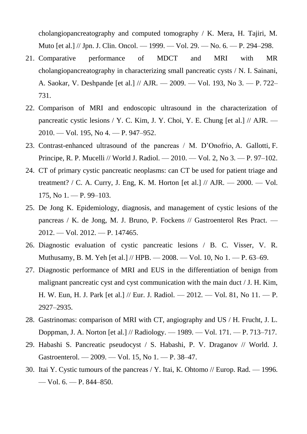cholangiopancreatography and computed tomography / K. Mera, H. Tajiri, M. Muto [et al.] // Jpn. J. Clin. Oncol. — 1999. — Vol. 29. — No. 6. — P. 294–298.

- 21. Comparative performance of MDCT and MRI with MR cholangiopancreatography in characterizing small pancreatic cysts / N. I. Sainani, A. Saokar, V. Deshpande [et al.] // AJR. — 2009. — Vol. 193, No 3. — P. 722– 731.
- 22. Comparison of MRI and endoscopic ultrasound in the characterization of pancreatic cystic lesions / Y. C. Kim, J. Y. Choi, Y. E. Chung [et al.] // AJR. — 2010. — Vol. 195, No 4. — P. 947–952.
- 23. Contrast-enhanced ultrasound of the pancreas / M. D'Onofrio, A. Gallotti, F. Principe, R. P. Mucelli // World J. Radiol. — 2010. — Vol. 2, No 3. — P. 97–102.
- 24. CT of primary cystic pancreatic neoplasms: can CT be used for patient triage and treatment? / C. A. Curry, J. Eng, K. M. Horton [et al.]  $\#$  AJR. — 2000. — Vol. 175, No 1. — P. 99–103.
- 25. De Jong K. Epidemiology, diagnosis, and management of cystic lesions of the pancreas / K. de Jong, M. J. Bruno, P. Fockens // Gastroenterol Res Pract. — 2012. — Vol. 2012. — P. 147465.
- 26. Diagnostic evaluation of cystic pancreatic lesions / B. C. Visser, V. R. Muthusamy, B. M. Yeh [et al.] // HPB. — 2008. — Vol. 10, No 1. — P. 63–69.
- 27. Diagnostic performance of MRI and EUS in the differentiation of benign from malignant pancreatic cyst and cyst communication with the main duct / J. H. Kim, H. W. Eun, H. J. Park [et al.] // Eur. J. Radiol. — 2012. — Vol. 81, No 11. — P. 2927–2935.
- 28. Gastrinomas: comparison of MRI with CT, angiography and US / H. Frucht, J. L. Doppman, J. A. Norton [et al.] // Radiology. — 1989. — Vol. 171. — P. 713–717.
- 29. Habashi S. Pancreatic pseudocyst / S. Habashi, P. V. Draganov // World. J. Gastroenterol. — 2009. — Vol. 15, No 1. — P. 38–47.
- 30. Itai Y. Cystic tumours of the pancreas / Y. Itai, К. Ohtomo // Europ. Rad. 1996. — Vol. 6. — P. 844–850.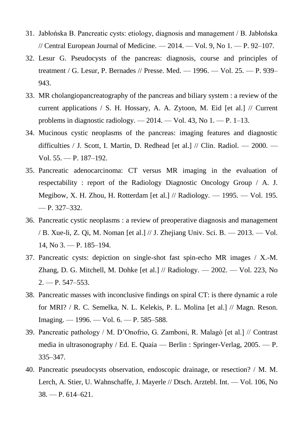- 31. Jabłońska B. Pancreatic cysts: etiology, diagnosis and management / B. Jabłońska // Central European Journal of Medicine. — 2014. — Vol. 9, No 1. — P. 92–107.
- 32. Lesur G. Pseudocysts of the pancreas: diagnosis, course and principles of treatment / G. Lesur, P. Bernades // Presse. Med. — 1996. — Vol. 25. — P. 939– 943.
- 33. MR cholangiopancreatography of the pancreas and biliary system : a review of the current applications / S. H. Hossary, A. A. Zytoon, M. Eid [et al.] // Current problems in diagnostic radiology.  $-2014$ .  $-$  Vol. 43, No 1.  $-$  P. 1–13.
- 34. Mucinous cystic neoplasms of the pancreas: imaging features and diagnostic difficulties / J. Scott, I. Martin, D. Redhead [et al.] // Clin. Radiol. — 2000. — Vol. 55. — P. 187–192.
- 35. Pancreatic adenocarcinoma: CT versus MR imaging in the evaluation of respectability : report of the Radiology Diagnostic Oncology Group / A. J. Megibow, X. H. Zhou, H. Rotterdam [et al.] // Radiology. — 1995. — Vol. 195. — P. 327–332.
- 36. Pancreatic cystic neoplasms : a review of preoperative diagnosis and management / B. Xue-li, Z. Qi, M. Noman [et al.] // J. Zhejiang Univ. Sci. B. — 2013. — Vol. 14, No 3. — P. 185–194.
- 37. Pancreatic cysts: depiction on single-shot fast spin-echo MR images / X.-M. Zhang, D. G. Mitchell, M. Dohke [et al.] // Radiology. — 2002. — Vol. 223, No  $2. - P. 547 - 553.$
- 38. Pancreatic masses with inconclusive findings on spiral CT: is there dynamic a role for MRI? / R. C. Semelka, N. L. Kelekis, P. L. Molina [et al.] // Magn. Reson. Imaging. — 1996. — Vol. 6. — P. 585–588.
- 39. Pancreatic pathology / M. D'Onofrio, G. Zamboni, R. Malagò [et al.] // Contrast media in ultrasonography / Ed. E. Quaia — Berlin : Springer-Verlag, 2005. — P. 335–347.
- 40. Pancreatic pseudocysts observation, endoscopic drainage, or resection? / M. M. Lerch, A. Stier, U. [Wahnschaffe,](http://www.ncbi.nlm.nih.gov/pubmed/?term=Wahnschaffe%20U%5Bauth%5D) J. [Mayerle](http://www.ncbi.nlm.nih.gov/pubmed/?term=Mayerle%20J%5Bauth%5D) // Dtsch. Arztebl. Int. — Vol. 106, No 38. — P. 614–621.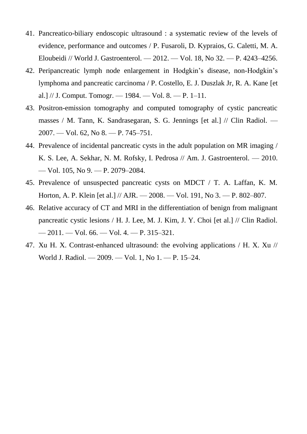- 41. Pancreatico-biliary endoscopic ultrasound : a systematic review of the levels of evidence, performance and outcomes / P. Fusaroli, D. Kypraios, G. Caletti, M. A. Eloubeidi // World J. Gastroenterol. — 2012. — Vol. 18, No 32. — P. 4243–4256.
- 42. Peripancreatic lymph node enlargement in Hodgkin's disease, non-Hodgkin's lymphoma and pancreatic carcinoma / P. Costello, E. J. Duszlak Jr, R. A. Kane [et al.] // J. Comput. Tomogr. —  $1984.$  — Vol. 8. — P. 1–11.
- 43. Positron-emission tomography and computed tomography of cystic pancreatic masses / M. Tann, K. Sandrasegaran, S. G. Jennings [et al.] // Clin Radiol. — 2007. — Vol. 62, No 8. — P. 745–751.
- 44. Prevalence of incidental pancreatic cysts in the adult population on MR imaging / K. S. Lee, A. Sekhar, N. M. Rofsky, I. Pedrosa // Am. J. Gastroenterol. — 2010. — Vol. 105, No 9. — P. 2079–2084.
- 45. Prevalence of unsuspected pancreatic cysts on MDCT / T. A. Laffan, K. M. Horton, A. P. Klein [et al.] // AJR. — 2008. — Vol. 191, No 3. — P. 802–807.
- 46. Relative accuracy of CT and MRI in the differentiation of benign from malignant pancreatic cystic lesions / H. J. Lee, M. J. Kim, J. Y. Choi [et al.] // Clin Radiol. — 2011. — Vol. 66. — Vol. 4. — P. 315–321.
- 47. Xu H. X. Contrast-enhanced ultrasound: the evolving applications / H. X. Xu // World J. Radiol. — 2009. — Vol. 1, No 1. — P. 15–24.